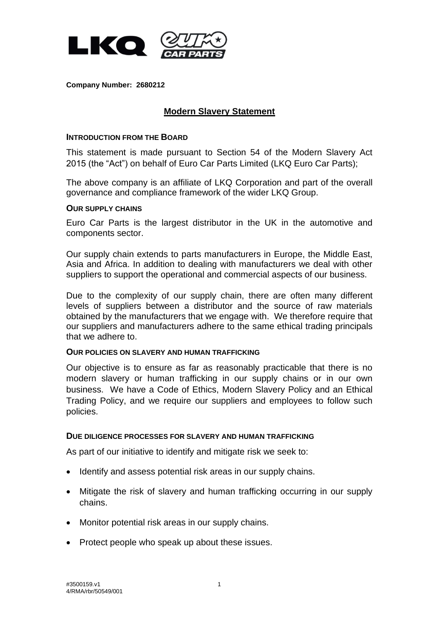

**Company Number: 2680212**

# **Modern Slavery Statement**

### **INTRODUCTION FROM THE BOARD**

This statement is made pursuant to Section 54 of the Modern Slavery Act 2015 (the "Act") on behalf of Euro Car Parts Limited (LKQ Euro Car Parts);

The above company is an affiliate of LKQ Corporation and part of the overall governance and compliance framework of the wider LKQ Group.

## **OUR SUPPLY CHAINS**

Euro Car Parts is the largest distributor in the UK in the automotive and components sector.

Our supply chain extends to parts manufacturers in Europe, the Middle East, Asia and Africa. In addition to dealing with manufacturers we deal with other suppliers to support the operational and commercial aspects of our business.

Due to the complexity of our supply chain, there are often many different levels of suppliers between a distributor and the source of raw materials obtained by the manufacturers that we engage with. We therefore require that our suppliers and manufacturers adhere to the same ethical trading principals that we adhere to.

#### **OUR POLICIES ON SLAVERY AND HUMAN TRAFFICKING**

Our objective is to ensure as far as reasonably practicable that there is no modern slavery or human trafficking in our supply chains or in our own business. We have a Code of Ethics, Modern Slavery Policy and an Ethical Trading Policy, and we require our suppliers and employees to follow such policies.

#### **DUE DILIGENCE PROCESSES FOR SLAVERY AND HUMAN TRAFFICKING**

As part of our initiative to identify and mitigate risk we seek to:

- Identify and assess potential risk areas in our supply chains.
- Mitigate the risk of slavery and human trafficking occurring in our supply chains.
- Monitor potential risk areas in our supply chains.
- Protect people who speak up about these issues.